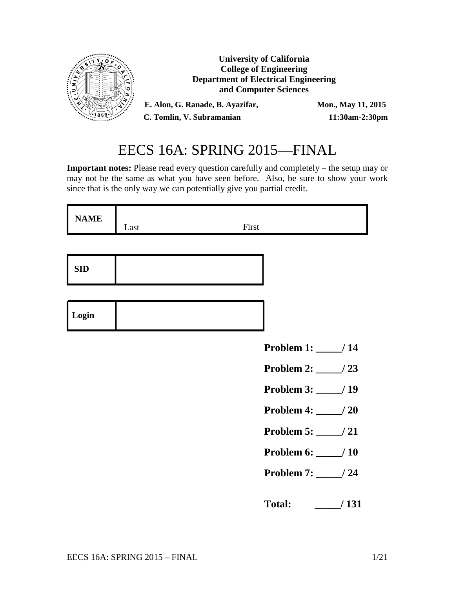

# EECS 16A: SPRING 2015—FINAL

**Important notes:** Please read every question carefully and completely – the setup may or may not be the same as what you have seen before. Also, be sure to show your work since that is the only way we can potentially give you partial credit.

| <b>NAME</b> | Last | First |  |
|-------------|------|-------|--|
|             |      |       |  |

| <b>SID</b> |
|------------|
|------------|

- **Problem 1: \_\_\_\_\_/ 14**
- **Problem 2: \_\_\_\_\_/ 23**
- **Problem 3: \_\_\_\_\_/ 19**
- **Problem 4: \_\_\_\_\_/ 20**
- **Problem 5: \_\_\_\_\_/ 21**
- **Problem 6: \_\_\_\_\_/ 10**
- **Problem 7: \_\_\_\_\_/ 24**

**Total: \_\_\_\_\_/ 131**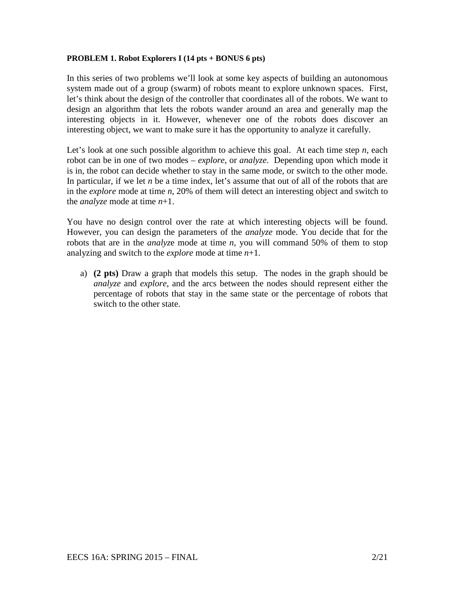### **PROBLEM 1. Robot Explorers I (14 pts + BONUS 6 pts)**

In this series of two problems we'll look at some key aspects of building an autonomous system made out of a group (swarm) of robots meant to explore unknown spaces. First, let's think about the design of the controller that coordinates all of the robots. We want to design an algorithm that lets the robots wander around an area and generally map the interesting objects in it. However, whenever one of the robots does discover an interesting object, we want to make sure it has the opportunity to analyze it carefully.

Let's look at one such possible algorithm to achieve this goal. At each time step *n*, each robot can be in one of two modes – *explore*, or *analyze*. Depending upon which mode it is in, the robot can decide whether to stay in the same mode, or switch to the other mode. In particular, if we let *n* be a time index, let's assume that out of all of the robots that are in the *explore* mode at time *n*, 20% of them will detect an interesting object and switch to the *analyze* mode at time *n*+1.

You have no design control over the rate at which interesting objects will be found. However, you can design the parameters of the *analyze* mode. You decide that for the robots that are in the *analyz*e mode at time *n*, you will command 50% of them to stop analyzing and switch to the *explore* mode at time *n*+1.

a) **(2 pts)** Draw a graph that models this setup. The nodes in the graph should be *analyze* and *explore*, and the arcs between the nodes should represent either the percentage of robots that stay in the same state or the percentage of robots that switch to the other state.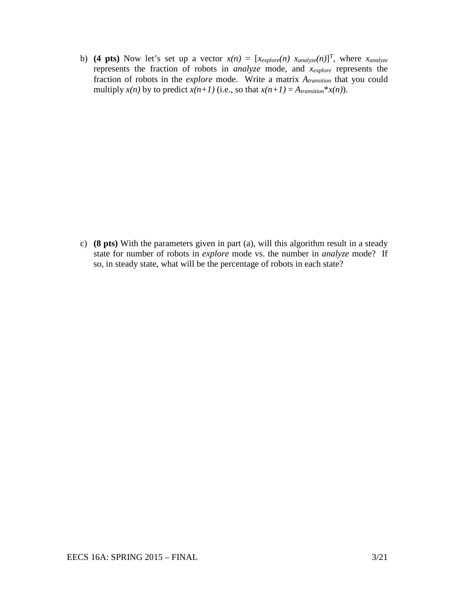b) **(4 pts)** Now let's set up a vector  $x(n) = [x_{explore}(n) \ x_{analyze}(n)]^T$ , where  $x_{analyze}$ represents the fraction of robots in *analyze* mode, and *xexplore* represents the fraction of robots in the *explore* mode. Write a matrix *Atransition* that you could multiply  $x(n)$  by to predict  $x(n+1)$  (i.e., so that  $x(n+1) = A$ <sub>transition</sub>\* $x(n)$ ).

c) **(8 pts)** With the parameters given in part (a), will this algorithm result in a steady state for number of robots in *explore* mode vs. the number in *analyze* mode? If so, in steady state, what will be the percentage of robots in each state?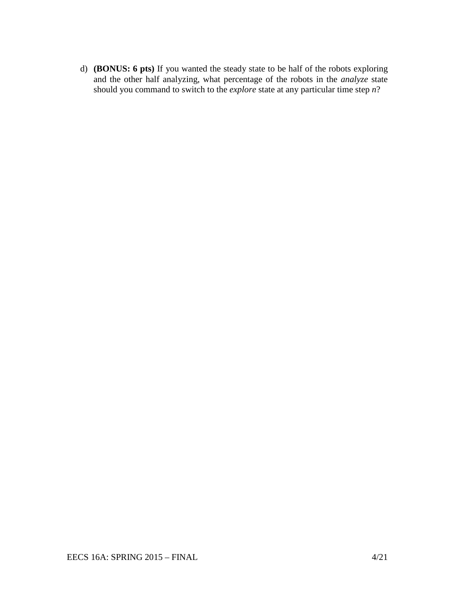d) **(BONUS: 6 pts)** If you wanted the steady state to be half of the robots exploring and the other half analyzing, what percentage of the robots in the *analyze* state should you command to switch to the *explore* state at any particular time step *n*?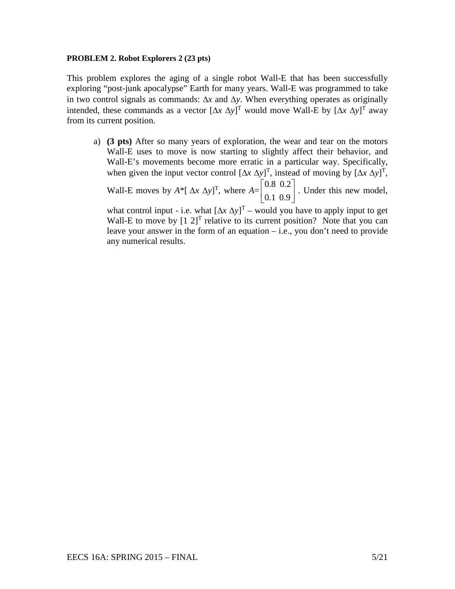#### **PROBLEM 2. Robot Explorers 2 (23 pts)**

This problem explores the aging of a single robot Wall-E that has been successfully exploring "post-junk apocalypse" Earth for many years. Wall-E was programmed to take in two control signals as commands: ∆*x* and ∆*y*. When everything operates as originally intended, these commands as a vector  $[\Delta x \Delta y]^T$  would move Wall-E by  $[\Delta x \Delta y]^T$  away from its current position.

a) **(3 pts)** After so many years of exploration, the wear and tear on the motors Wall-E uses to move is now starting to slightly affect their behavior, and Wall-E's movements become more erratic in a particular way. Specifically, when given the input vector control  $[\Delta x \Delta y]^T$ , instead of moving by  $[\Delta x \Delta y]^T$ , Wall-E moves by  $A^*[\Delta x \Delta y]^T$ , where  $A = \begin{bmatrix} 0.8 & 0.2 \\ 0.1 & 0.8 \end{bmatrix}$ 0.1 0.9  $\vert 0.8 \vert 0.2 \vert$  $\begin{bmatrix} 0.1 & 0.9 \end{bmatrix}$ . Under this new model, what control input - i.e. what  $[\Delta x \Delta y]^T$  – would you have to apply input to get Wall-E to move by  $[1 \ 2]^T$  relative to its current position? Note that you can

leave your answer in the form of an equation  $-$  i.e., you don't need to provide any numerical results.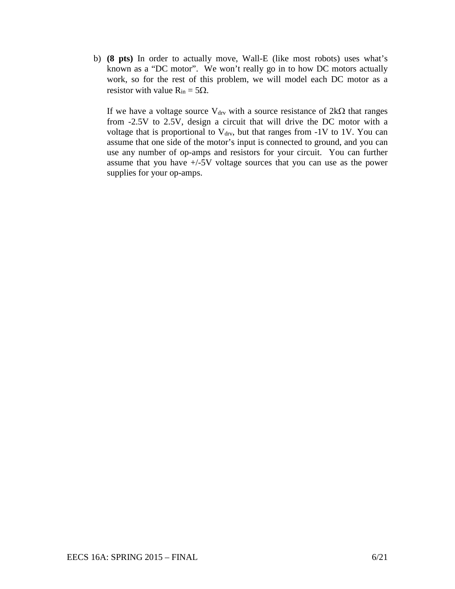b) **(8 pts)** In order to actually move, Wall-E (like most robots) uses what's known as a "DC motor". We won't really go in to how DC motors actually work, so for the rest of this problem, we will model each DC motor as a resistor with value  $R_{in} = 5\Omega$ .

If we have a voltage source V<sub>drv</sub> with a source resistance of  $2kΩ$  that ranges from -2.5V to 2.5V, design a circuit that will drive the DC motor with a voltage that is proportional to  $V_{\text{drv}}$ , but that ranges from -1V to 1V. You can assume that one side of the motor's input is connected to ground, and you can use any number of op-amps and resistors for your circuit. You can further assume that you have +/-5V voltage sources that you can use as the power supplies for your op-amps.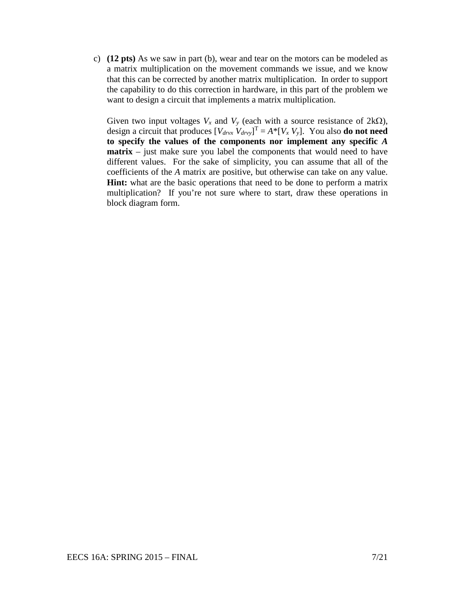c) **(12 pts)** As we saw in part (b), wear and tear on the motors can be modeled as a matrix multiplication on the movement commands we issue, and we know that this can be corrected by another matrix multiplication. In order to support the capability to do this correction in hardware, in this part of the problem we want to design a circuit that implements a matrix multiplication.

Given two input voltages  $V_x$  and  $V_y$  (each with a source resistance of  $2k\Omega$ ), design a circuit that produces  $[V_{drvx} V_{drvy}]^T = A^* [V_x V_y]$ . You also **do not need to specify the values of the components nor implement any specific** *A* **matrix** – just make sure you label the components that would need to have different values. For the sake of simplicity, you can assume that all of the coefficients of the *A* matrix are positive, but otherwise can take on any value. **Hint:** what are the basic operations that need to be done to perform a matrix multiplication? If you're not sure where to start, draw these operations in block diagram form.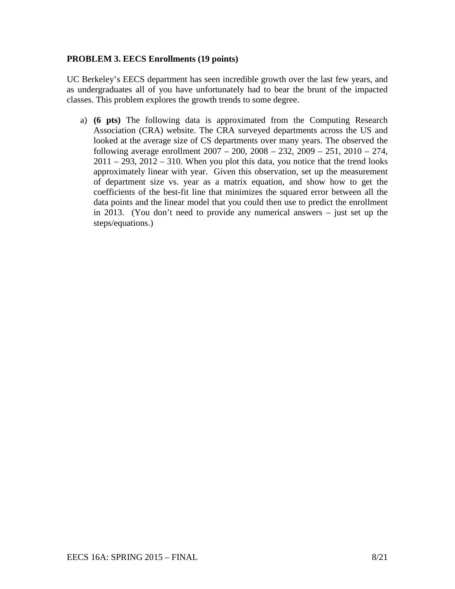# **PROBLEM 3. EECS Enrollments (19 points)**

UC Berkeley's EECS department has seen incredible growth over the last few years, and as undergraduates all of you have unfortunately had to bear the brunt of the impacted classes. This problem explores the growth trends to some degree.

a) **(6 pts)** The following data is approximated from the Computing Research Association (CRA) website. The CRA surveyed departments across the US and looked at the average size of CS departments over many years. The observed the following average enrollment 2007 – 200, 2008 – 232, 2009 – 251, 2010 – 274,  $2011 - 293$ ,  $2012 - 310$ . When you plot this data, you notice that the trend looks approximately linear with year. Given this observation, set up the measurement of department size vs. year as a matrix equation, and show how to get the coefficients of the best-fit line that minimizes the squared error between all the data points and the linear model that you could then use to predict the enrollment in 2013. (You don't need to provide any numerical answers – just set up the steps/equations.)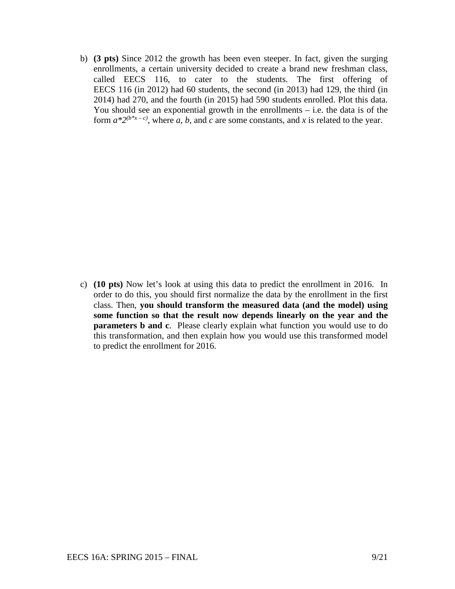b) **(3 pts)** Since 2012 the growth has been even steeper. In fact, given the surging enrollments, a certain university decided to create a brand new freshman class, called EECS 116, to cater to the students. The first offering of EECS 116 (in 2012) had 60 students, the second (in 2013) had 129, the third (in 2014) had 270, and the fourth (in 2015) had 590 students enrolled. Plot this data. You should see an exponential growth in the enrollments  $-$  i.e. the data is of the form  $a^*2^{(b^*x-c)}$ , where *a*, *b*, and *c* are some constants, and *x* is related to the year.

c) **(10 pts)** Now let's look at using this data to predict the enrollment in 2016. In order to do this, you should first normalize the data by the enrollment in the first class. Then, **you should transform the measured data (and the model) using some function so that the result now depends linearly on the year and the parameters b and c**. Please clearly explain what function you would use to do this transformation, and then explain how you would use this transformed model to predict the enrollment for 2016.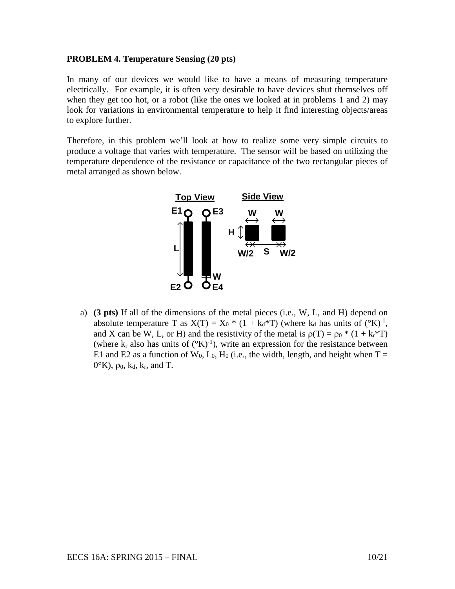## **PROBLEM 4. Temperature Sensing (20 pts)**

In many of our devices we would like to have a means of measuring temperature electrically. For example, it is often very desirable to have devices shut themselves off when they get too hot, or a robot (like the ones we looked at in problems 1 and 2) may look for variations in environmental temperature to help it find interesting objects/areas to explore further.

Therefore, in this problem we'll look at how to realize some very simple circuits to produce a voltage that varies with temperature. The sensor will be based on utilizing the temperature dependence of the resistance or capacitance of the two rectangular pieces of metal arranged as shown below.



a) **(3 pts)** If all of the dimensions of the metal pieces (i.e., W, L, and H) depend on absolute temperature T as  $X(T) = X_0 * (1 + k_d * T)$  (where  $k_d$  has units of  $({}^{\circ}K)^{-1}$ , and X can be W, L, or H) and the resistivity of the metal is  $p(T) = p_0 * (1 + k_r * T)$ (where  $k_r$  also has units of  $({}^{\circ}K)^{-1}$ ), write an expression for the resistance between E1 and E2 as a function of W<sub>0</sub>, L<sub>0</sub>, H<sub>0</sub> (i.e., the width, length, and height when T =  $0^{\circ}$ K),  $\rho_0$ , k<sub>d</sub>, k<sub>r</sub>, and T.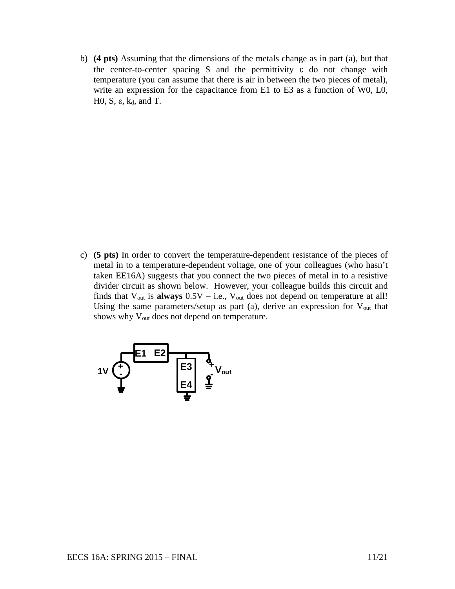b) **(4 pts)** Assuming that the dimensions of the metals change as in part (a), but that the center-to-center spacing S and the permittivity  $\varepsilon$  do not change with temperature (you can assume that there is air in between the two pieces of metal), write an expression for the capacitance from E1 to E3 as a function of W0, L0, H0, S, ε,  $k_d$ , and T.

c) **(5 pts)** In order to convert the temperature-dependent resistance of the pieces of metal in to a temperature-dependent voltage, one of your colleagues (who hasn't taken EE16A) suggests that you connect the two pieces of metal in to a resistive divider circuit as shown below. However, your colleague builds this circuit and finds that  $V_{\text{out}}$  is **always**  $0.5V - i.e., V_{\text{out}}$  does not depend on temperature at all! Using the same parameters/setup as part (a), derive an expression for  $V_{out}$  that shows why V<sub>out</sub> does not depend on temperature.

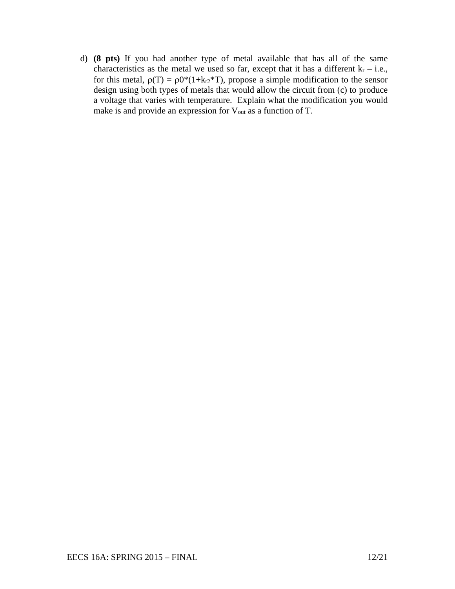d) **(8 pts)** If you had another type of metal available that has all of the same characteristics as the metal we used so far, except that it has a different  $k_r - i.e.,$ for this metal,  $\rho(T) = \rho 0^*(1+k_1t^*T)$ , propose a simple modification to the sensor design using both types of metals that would allow the circuit from (c) to produce a voltage that varies with temperature. Explain what the modification you would make is and provide an expression for V<sub>out</sub> as a function of T.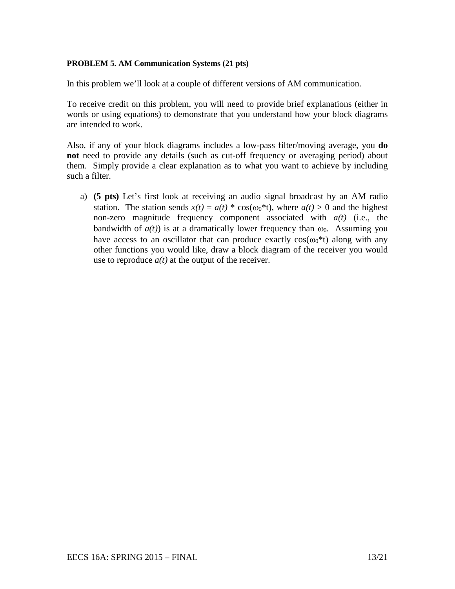## **PROBLEM 5. AM Communication Systems (21 pts)**

In this problem we'll look at a couple of different versions of AM communication.

To receive credit on this problem, you will need to provide brief explanations (either in words or using equations) to demonstrate that you understand how your block diagrams are intended to work.

Also, if any of your block diagrams includes a low-pass filter/moving average, you **do not** need to provide any details (such as cut-off frequency or averaging period) about them. Simply provide a clear explanation as to what you want to achieve by including such a filter.

a) **(5 pts)** Let's first look at receiving an audio signal broadcast by an AM radio station. The station sends  $x(t) = a(t) * cos(\omega_0 * t)$ , where  $a(t) > 0$  and the highest non-zero magnitude frequency component associated with *a(t)* (i.e., the bandwidth of  $a(t)$ ) is at a dramatically lower frequency than  $\omega_0$ . Assuming you have access to an oscillator that can produce exactly  $cos(\omega_0^*t)$  along with any other functions you would like, draw a block diagram of the receiver you would use to reproduce  $a(t)$  at the output of the receiver.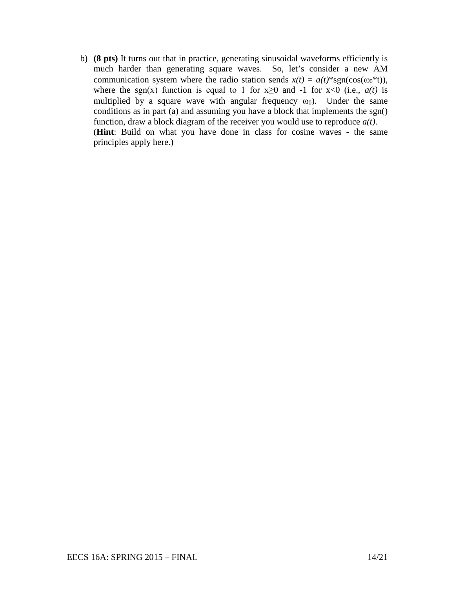b) **(8 pts)** It turns out that in practice, generating sinusoidal waveforms efficiently is much harder than generating square waves. So, let's consider a new AM communication system where the radio station sends  $x(t) = a(t)^*sgn(cos(\omega_0^*t))$ , where the sgn(x) function is equal to 1 for  $x \ge 0$  and -1 for  $x < 0$  (i.e.,  $a(t)$  is multiplied by a square wave with angular frequency  $\omega_0$ ). Under the same conditions as in part (a) and assuming you have a block that implements the sgn() function, draw a block diagram of the receiver you would use to reproduce *a(t)*. (**Hint**: Build on what you have done in class for cosine waves - the same principles apply here.)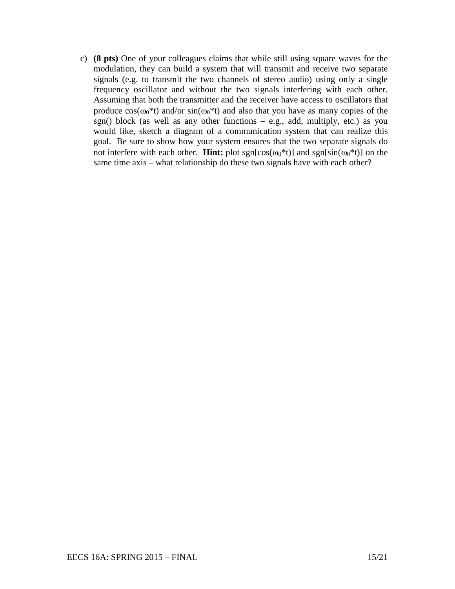c) **(8 pts)** One of your colleagues claims that while still using square waves for the modulation, they can build a system that will transmit and receive two separate signals (e.g. to transmit the two channels of stereo audio) using only a single frequency oscillator and without the two signals interfering with each other. Assuming that both the transmitter and the receiver have access to oscillators that produce  $cos(\omega_0^*t)$  and/or  $sin(\omega_0^*t)$  and also that you have as many copies of the sgn() block (as well as any other functions  $-$  e.g., add, multiply, etc.) as you would like, sketch a diagram of a communication system that can realize this goal. Be sure to show how your system ensures that the two separate signals do not interfere with each other. **Hint:** plot  $sgn[\cos(\omega_0^*t)]$  and  $sgn[\sin(\omega_0^*t)]$  on the same time axis – what relationship do these two signals have with each other?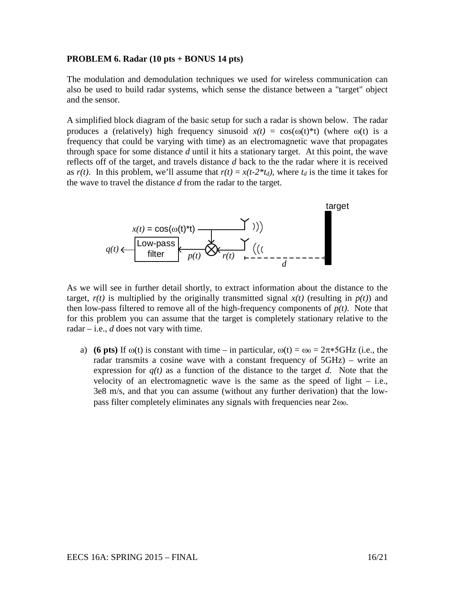#### **PROBLEM 6. Radar (10 pts + BONUS 14 pts)**

The modulation and demodulation techniques we used for wireless communication can also be used to build radar systems, which sense the distance between a "target" object and the sensor.

A simplified block diagram of the basic setup for such a radar is shown below. The radar produces a (relatively) high frequency sinusoid  $x(t) = \cos(\omega(t))^*t$ ) (where  $\omega(t)$  is a frequency that could be varying with time) as an electromagnetic wave that propagates through space for some distance *d* until it hits a stationary target. At this point, the wave reflects off of the target, and travels distance *d* back to the the radar where it is received as  $r(t)$ . In this problem, we'll assume that  $r(t) = x(t-2*t_d)$ , where  $t_d$  is the time it takes for the wave to travel the distance *d* from the radar to the target.



As we will see in further detail shortly, to extract information about the distance to the target,  $r(t)$  is multiplied by the originally transmitted signal  $x(t)$  (resulting in  $p(t)$ ) and then low-pass filtered to remove all of the high-frequency components of  $p(t)$ . Note that for this problem you can assume that the target is completely stationary relative to the radar – i.e.,  $d$  does not vary with time.

a) **(6 pts)** If  $\omega(t)$  is constant with time – in particular,  $\omega(t) = \omega_0 = 2\pi * 5 \text{GHz}$  (i.e., the radar transmits a cosine wave with a constant frequency of 5GHz) – write an expression for  $q(t)$  as a function of the distance to the target *d*. Note that the velocity of an electromagnetic wave is the same as the speed of light  $-$  i.e., 3e8 m/s, and that you can assume (without any further derivation) that the lowpass filter completely eliminates any signals with frequencies near  $2\omega_0$ .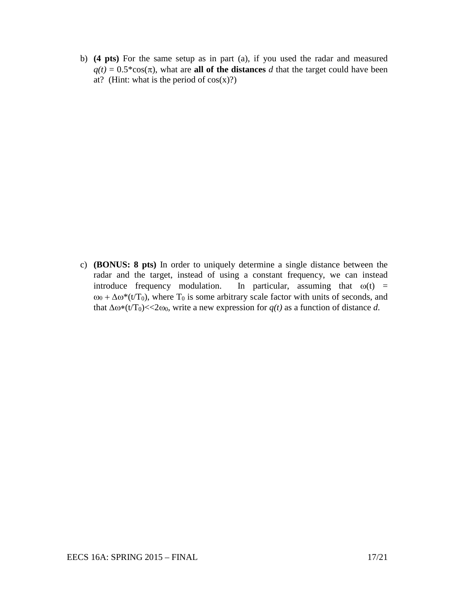b) **(4 pts)** For the same setup as in part (a), if you used the radar and measured  $q(t) = 0.5 \times \cos(\pi)$ , what are **all of the distances** *d* that the target could have been at? (Hint: what is the period of  $cos(x)$ ?)

c) **(BONUS: 8 pts)** In order to uniquely determine a single distance between the radar and the target, instead of using a constant frequency, we can instead introduce frequency modulation. In particular, assuming that  $\omega(t)$  =  $ω<sub>0</sub> + Δω<sup>*</sup>(t/T<sub>0</sub>)$ , where T<sub>0</sub> is some arbitrary scale factor with units of seconds, and that  $\Delta \omega^*(t)$  ( $t/T_0$ ) <<2 $\omega_0$ , write a new expression for  $q(t)$  as a function of distance *d*.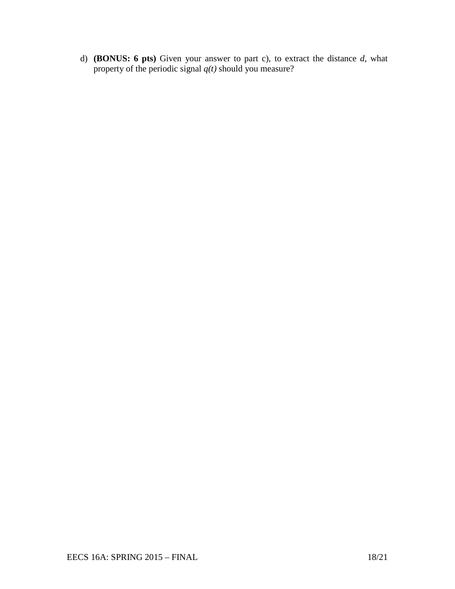d) **(BONUS: 6 pts)** Given your answer to part c), to extract the distance *d*, what property of the periodic signal *q(t)* should you measure?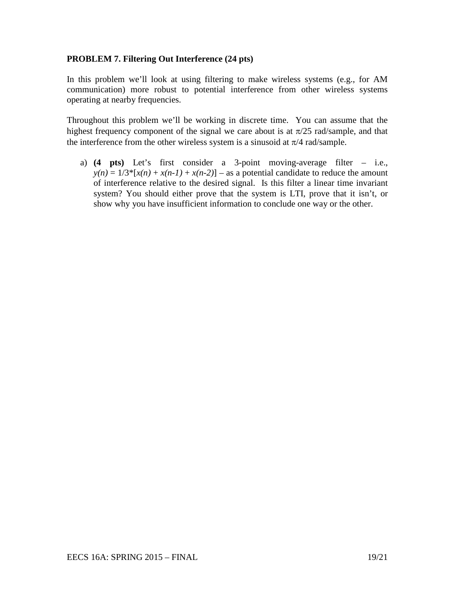# **PROBLEM 7. Filtering Out Interference (24 pts)**

In this problem we'll look at using filtering to make wireless systems (e.g., for AM communication) more robust to potential interference from other wireless systems operating at nearby frequencies.

Throughout this problem we'll be working in discrete time. You can assume that the highest frequency component of the signal we care about is at  $\pi/25$  rad/sample, and that the interference from the other wireless system is a sinusoid at  $\pi/4$  rad/sample.

a) **(4 pts)** Let's first consider a 3-point moving-average filter – i.e.,  $y(n) = 1/3^*[x(n) + x(n-1) + x(n-2)]$  – as a potential candidate to reduce the amount of interference relative to the desired signal. Is this filter a linear time invariant system? You should either prove that the system is LTI, prove that it isn't, or show why you have insufficient information to conclude one way or the other.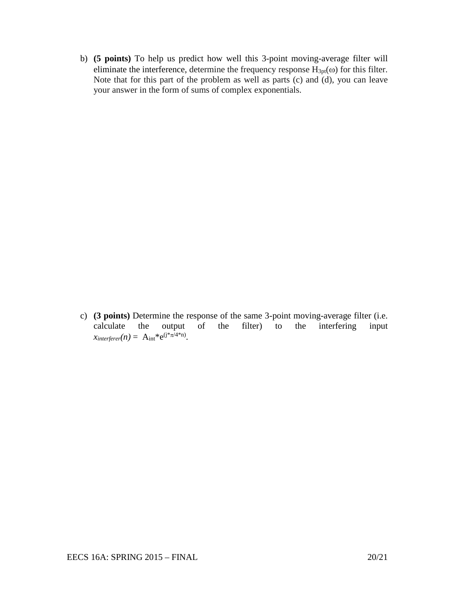b) **(5 points)** To help us predict how well this 3-point moving-average filter will eliminate the interference, determine the frequency response  $H_{3pt}(\omega)$  for this filter. Note that for this part of the problem as well as parts (c) and (d), you can leave your answer in the form of sums of complex exponentials.

c) **(3 points)** Determine the response of the same 3-point moving-average filter (i.e. calculate the output of the filter) to the interfering input  $x_{interferer}(n) = A_{int} * e^{(j*\pi/4+n)}$ .